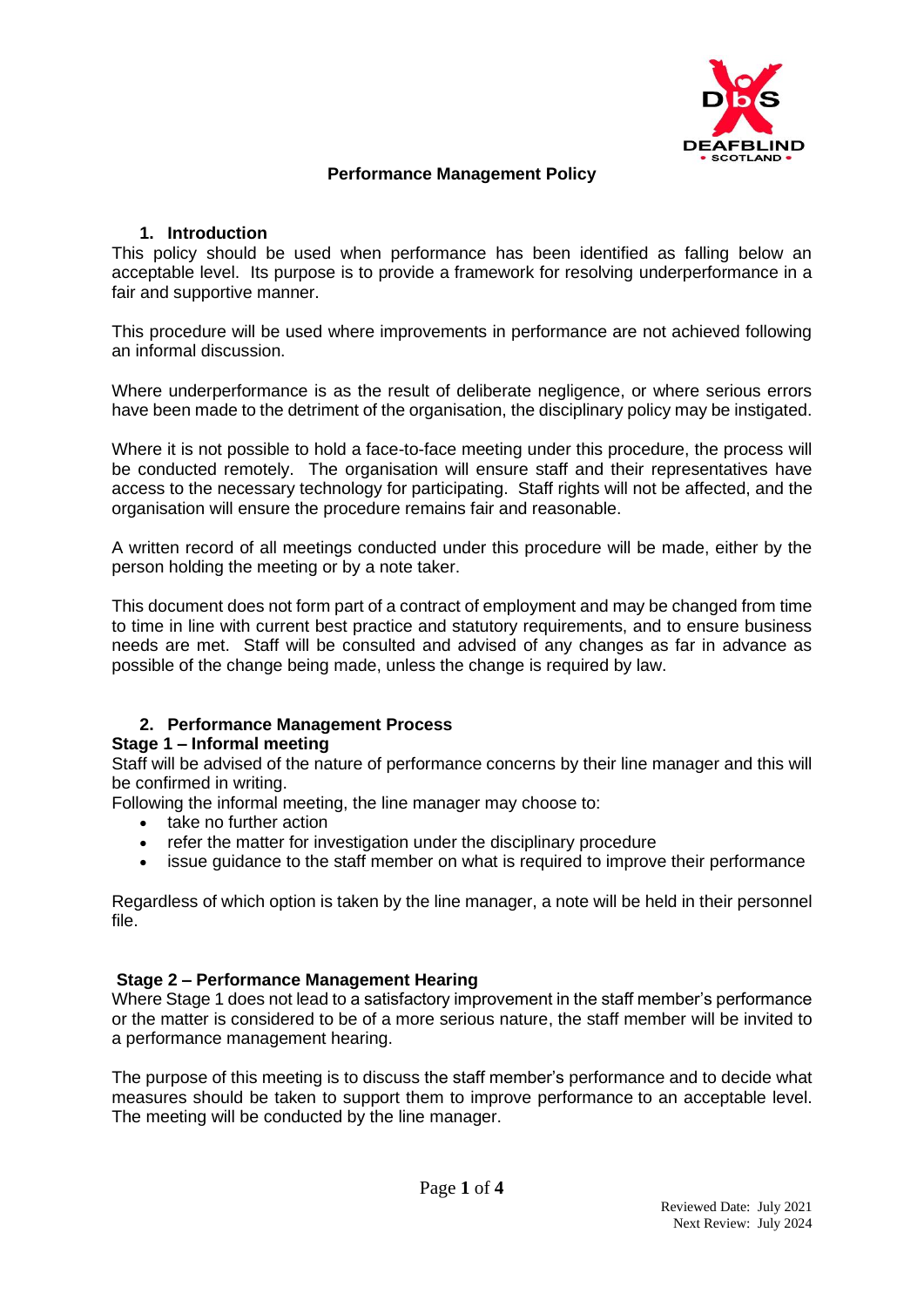

# **Performance Management Policy**

### **1. Introduction**

This policy should be used when performance has been identified as falling below an acceptable level. Its purpose is to provide a framework for resolving underperformance in a fair and supportive manner.

This procedure will be used where improvements in performance are not achieved following an informal discussion.

Where underperformance is as the result of deliberate negligence, or where serious errors have been made to the detriment of the organisation, the disciplinary policy may be instigated.

Where it is not possible to hold a face-to-face meeting under this procedure, the process will be conducted remotely. The organisation will ensure staff and their representatives have access to the necessary technology for participating. Staff rights will not be affected, and the organisation will ensure the procedure remains fair and reasonable.

A written record of all meetings conducted under this procedure will be made, either by the person holding the meeting or by a note taker.

This document does not form part of a contract of employment and may be changed from time to time in line with current best practice and statutory requirements, and to ensure business needs are met. Staff will be consulted and advised of any changes as far in advance as possible of the change being made, unless the change is required by law.

# **2. Performance Management Process**

### **Stage 1 – Informal meeting**

Staff will be advised of the nature of performance concerns by their line manager and this will be confirmed in writing.

Following the informal meeting, the line manager may choose to:

- take no further action
- refer the matter for investigation under the disciplinary procedure
- issue guidance to the staff member on what is required to improve their performance

Regardless of which option is taken by the line manager, a note will be held in their personnel file.

### **Stage 2 – Performance Management Hearing**

Where Stage 1 does not lead to a satisfactory improvement in the staff member's performance or the matter is considered to be of a more serious nature, the staff member will be invited to a performance management hearing.

The purpose of this meeting is to discuss the staff member's performance and to decide what measures should be taken to support them to improve performance to an acceptable level. The meeting will be conducted by the line manager.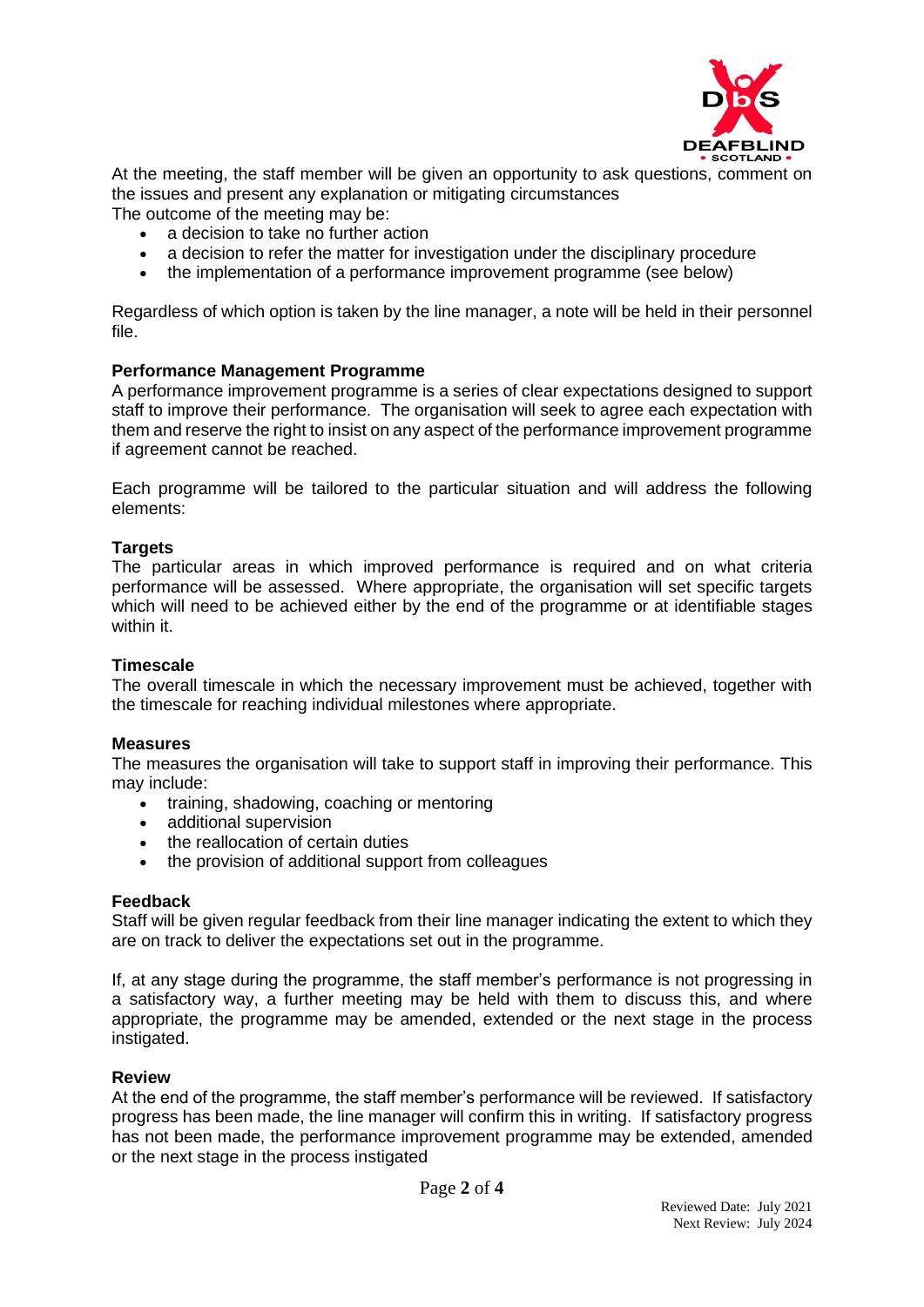

At the meeting, the staff member will be given an opportunity to ask questions, comment on the issues and present any explanation or mitigating circumstances

The outcome of the meeting may be:

- a decision to take no further action
- a decision to refer the matter for investigation under the disciplinary procedure
- the implementation of a performance improvement programme (see below)

Regardless of which option is taken by the line manager, a note will be held in their personnel file.

# **Performance Management Programme**

A performance improvement programme is a series of clear expectations designed to support staff to improve their performance. The organisation will seek to agree each expectation with them and reserve the right to insist on any aspect of the performance improvement programme if agreement cannot be reached.

Each programme will be tailored to the particular situation and will address the following elements:

# **Targets**

The particular areas in which improved performance is required and on what criteria performance will be assessed. Where appropriate, the organisation will set specific targets which will need to be achieved either by the end of the programme or at identifiable stages within it.

### **Timescale**

The overall timescale in which the necessary improvement must be achieved, together with the timescale for reaching individual milestones where appropriate.

### **Measures**

The measures the organisation will take to support staff in improving their performance. This may include:

- training, shadowing, coaching or mentoring
- additional supervision
- the reallocation of certain duties
- the provision of additional support from colleagues

### **Feedback**

Staff will be given regular feedback from their line manager indicating the extent to which they are on track to deliver the expectations set out in the programme.

If, at any stage during the programme, the staff member's performance is not progressing in a satisfactory way, a further meeting may be held with them to discuss this, and where appropriate, the programme may be amended, extended or the next stage in the process instigated.

### **Review**

At the end of the programme, the staff member's performance will be reviewed. If satisfactory progress has been made, the line manager will confirm this in writing. If satisfactory progress has not been made, the performance improvement programme may be extended, amended or the next stage in the process instigated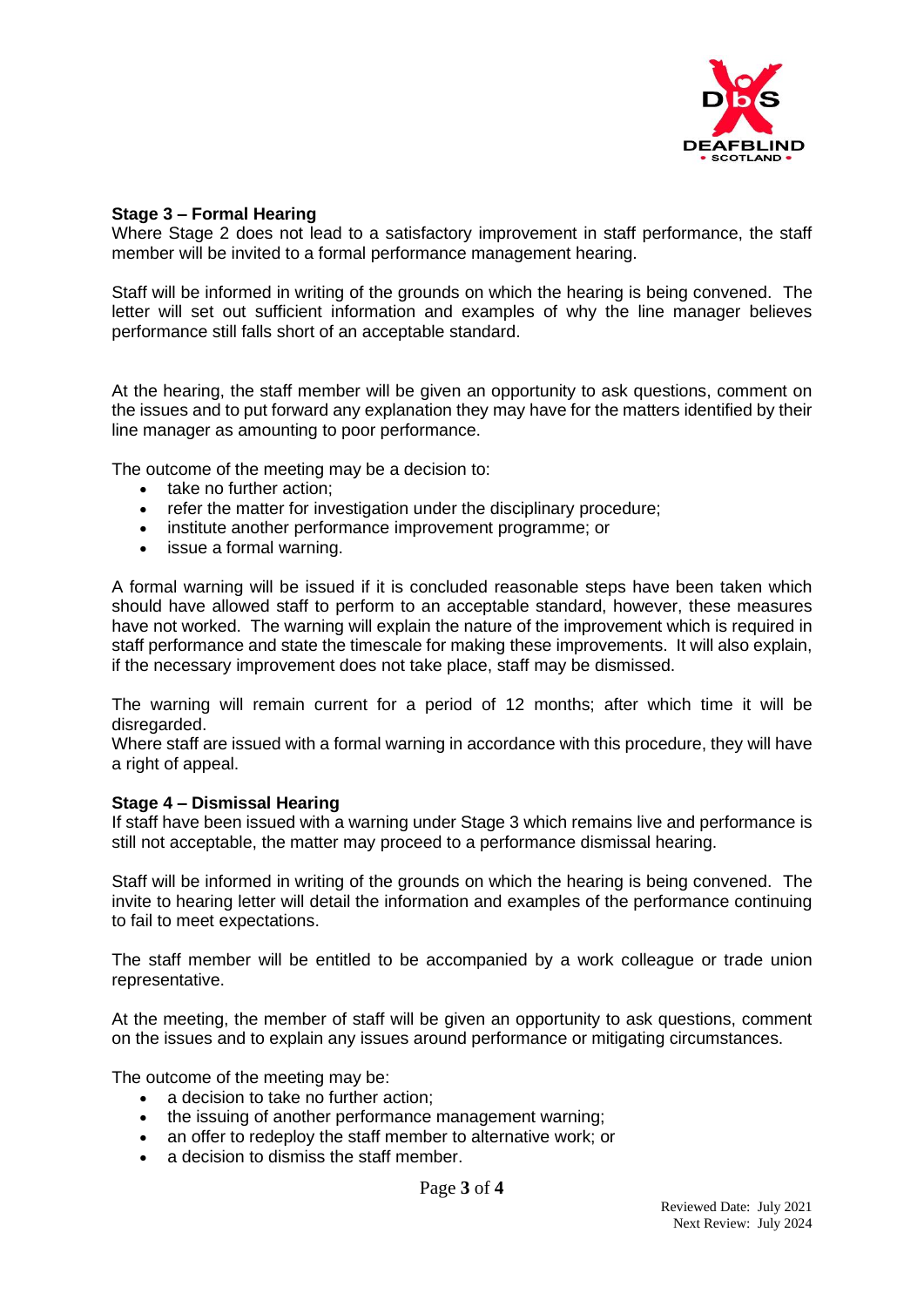

#### **Stage 3 – Formal Hearing**

Where Stage 2 does not lead to a satisfactory improvement in staff performance, the staff member will be invited to a formal performance management hearing.

Staff will be informed in writing of the grounds on which the hearing is being convened. The letter will set out sufficient information and examples of why the line manager believes performance still falls short of an acceptable standard.

At the hearing, the staff member will be given an opportunity to ask questions, comment on the issues and to put forward any explanation they may have for the matters identified by their line manager as amounting to poor performance.

The outcome of the meeting may be a decision to:

- take no further action:
- refer the matter for investigation under the disciplinary procedure;
- institute another performance improvement programme; or
- issue a formal warning.

A formal warning will be issued if it is concluded reasonable steps have been taken which should have allowed staff to perform to an acceptable standard, however, these measures have not worked. The warning will explain the nature of the improvement which is required in staff performance and state the timescale for making these improvements. It will also explain, if the necessary improvement does not take place, staff may be dismissed.

The warning will remain current for a period of 12 months; after which time it will be disregarded.

Where staff are issued with a formal warning in accordance with this procedure, they will have a right of appeal.

#### **Stage 4 – Dismissal Hearing**

If staff have been issued with a warning under Stage 3 which remains live and performance is still not acceptable, the matter may proceed to a performance dismissal hearing.

Staff will be informed in writing of the grounds on which the hearing is being convened. The invite to hearing letter will detail the information and examples of the performance continuing to fail to meet expectations.

The staff member will be entitled to be accompanied by a work colleague or trade union representative.

At the meeting, the member of staff will be given an opportunity to ask questions, comment on the issues and to explain any issues around performance or mitigating circumstances.

The outcome of the meeting may be:

- a decision to take no further action:
- the issuing of another performance management warning;
- an offer to redeploy the staff member to alternative work; or
- a decision to dismiss the staff member.